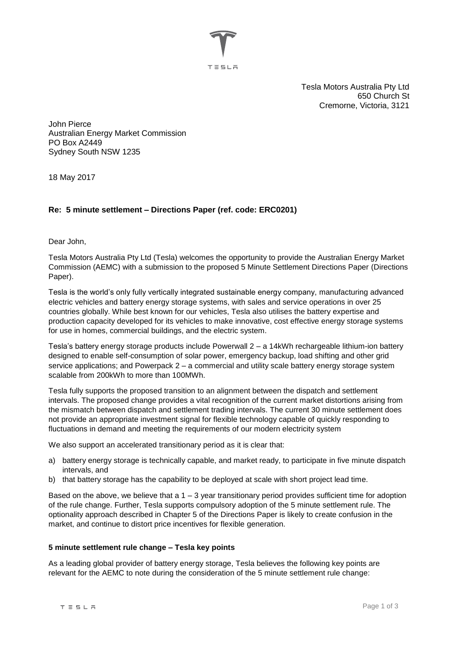

Tesla Motors Australia Pty Ltd 650 Church St Cremorne, Victoria, 3121

John Pierce Australian Energy Market Commission PO Box A2449 Sydney South NSW 1235

18 May 2017

# **Re: 5 minute settlement – Directions Paper (ref. code: ERC0201)**

Dear John,

Tesla Motors Australia Pty Ltd (Tesla) welcomes the opportunity to provide the Australian Energy Market Commission (AEMC) with a submission to the proposed 5 Minute Settlement Directions Paper (Directions Paper).

Tesla is the world's only fully vertically integrated sustainable energy company, manufacturing advanced electric vehicles and battery energy storage systems, with sales and service operations in over 25 countries globally. While best known for our vehicles, Tesla also utilises the battery expertise and production capacity developed for its vehicles to make innovative, cost effective energy storage systems for use in homes, commercial buildings, and the electric system.

Tesla's battery energy storage products include Powerwall 2 – a 14kWh rechargeable lithium-ion battery designed to enable self-consumption of solar power, emergency backup, load shifting and other grid service applications; and Powerpack 2 – a commercial and utility scale battery energy storage system scalable from 200kWh to more than 100MWh.

Tesla fully supports the proposed transition to an alignment between the dispatch and settlement intervals. The proposed change provides a vital recognition of the current market distortions arising from the mismatch between dispatch and settlement trading intervals. The current 30 minute settlement does not provide an appropriate investment signal for flexible technology capable of quickly responding to fluctuations in demand and meeting the requirements of our modern electricity system

We also support an accelerated transitionary period as it is clear that:

- a) battery energy storage is technically capable, and market ready, to participate in five minute dispatch intervals, and
- b) that battery storage has the capability to be deployed at scale with short project lead time.

Based on the above, we believe that a 1 – 3 year transitionary period provides sufficient time for adoption of the rule change. Further, Tesla supports compulsory adoption of the 5 minute settlement rule. The optionality approach described in Chapter 5 of the Directions Paper is likely to create confusion in the market, and continue to distort price incentives for flexible generation.

### **5 minute settlement rule change – Tesla key points**

As a leading global provider of battery energy storage, Tesla believes the following key points are relevant for the AEMC to note during the consideration of the 5 minute settlement rule change: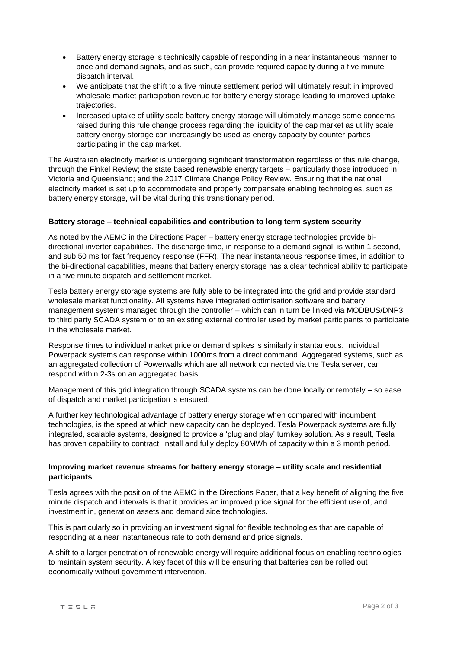- Battery energy storage is technically capable of responding in a near instantaneous manner to price and demand signals, and as such, can provide required capacity during a five minute dispatch interval.
- We anticipate that the shift to a five minute settlement period will ultimately result in improved wholesale market participation revenue for battery energy storage leading to improved uptake trajectories.
- Increased uptake of utility scale battery energy storage will ultimately manage some concerns raised during this rule change process regarding the liquidity of the cap market as utility scale battery energy storage can increasingly be used as energy capacity by counter-parties participating in the cap market.

The Australian electricity market is undergoing significant transformation regardless of this rule change, through the Finkel Review; the state based renewable energy targets – particularly those introduced in Victoria and Queensland; and the 2017 Climate Change Policy Review. Ensuring that the national electricity market is set up to accommodate and properly compensate enabling technologies, such as battery energy storage, will be vital during this transitionary period.

# **Battery storage – technical capabilities and contribution to long term system security**

As noted by the AEMC in the Directions Paper – battery energy storage technologies provide bidirectional inverter capabilities. The discharge time, in response to a demand signal, is within 1 second, and sub 50 ms for fast frequency response (FFR). The near instantaneous response times, in addition to the bi-directional capabilities, means that battery energy storage has a clear technical ability to participate in a five minute dispatch and settlement market.

Tesla battery energy storage systems are fully able to be integrated into the grid and provide standard wholesale market functionality. All systems have integrated optimisation software and battery management systems managed through the controller – which can in turn be linked via MODBUS/DNP3 to third party SCADA system or to an existing external controller used by market participants to participate in the wholesale market.

Response times to individual market price or demand spikes is similarly instantaneous. Individual Powerpack systems can response within 1000ms from a direct command. Aggregated systems, such as an aggregated collection of Powerwalls which are all network connected via the Tesla server, can respond within 2-3s on an aggregated basis.

Management of this grid integration through SCADA systems can be done locally or remotely – so ease of dispatch and market participation is ensured.

A further key technological advantage of battery energy storage when compared with incumbent technologies, is the speed at which new capacity can be deployed. Tesla Powerpack systems are fully integrated, scalable systems, designed to provide a 'plug and play' turnkey solution. As a result, Tesla has proven capability to contract, install and fully deploy 80MWh of capacity within a 3 month period.

# **Improving market revenue streams for battery energy storage – utility scale and residential participants**

Tesla agrees with the position of the AEMC in the Directions Paper, that a key benefit of aligning the five minute dispatch and intervals is that it provides an improved price signal for the efficient use of, and investment in, generation assets and demand side technologies.

This is particularly so in providing an investment signal for flexible technologies that are capable of responding at a near instantaneous rate to both demand and price signals.

A shift to a larger penetration of renewable energy will require additional focus on enabling technologies to maintain system security. A key facet of this will be ensuring that batteries can be rolled out economically without government intervention.